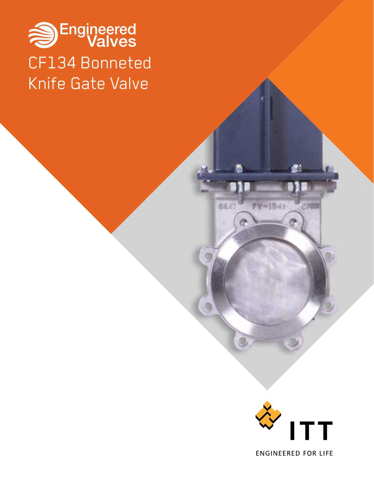# Sengineered CF134 Bonneted Knife Gate Valve



CREM

FV-1841

BEAT

 $\overline{\mathbb{C}}$ 

 $\Box$ 

Ø

**ENGINEERED FOR LIFE**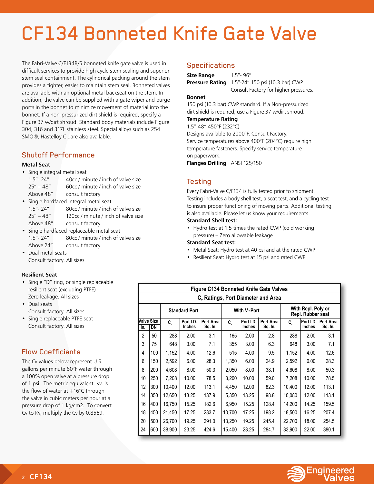# CF134 Bonneted Knife Gate Valve

The Fabri-Valve C/F134R/S bonneted knife gate valve is used in difficult services to provide high cycle stem sealing and superior stem seal containment. The cylindrical packing around the stem provides a tighter, easier to maintain stem seal. Bonneted valves are available with an optional metal backseat on the stem. In addition, the valve can be supplied with a gate wiper and purge ports in the bonnet to minimize movement of material into the bonnet. If a non-pressurized dirt shield is required, specify a Figure 37 w/dirt shroud. Standard body materials include Figure 304, 316 and 317L stainless steel. Special alloys such as 254 SMO®, Hastelloy C...are also available.

#### Shutoff Performance

#### **Metal Seat**

• Single integral metal seat

| $1.5 - 24$    | 40cc / minute / inch of valve size |
|---------------|------------------------------------|
| $25'' - 48''$ | 60cc / minute / inch of valve size |
| Above 48"     | consult factory                    |

- Single hardfaced integral metal seat 1.5"- 24" 80cc / minute / inch of valve size 25" – 48" 120cc / minute / inch of valve size Above 48" consult factory
- Single hardfaced replaceable metal seat 1.5"- 24" 80cc / minute / inch of valve size Above 24" consult factory
- Dual metal seats Consult factory. All sizes

#### **Resilient Seat**

- Single "D" ring, or single replaceable resilient seat (excluding PTFE) Zero leakage. All sizes
- Dual seats Consult factory. All sizes
- Single replaceable PTFE seat Consult factory. All sizes

### Flow Coefficients

The Cv values below represent U.S. gallons per minute 60°F water through a 100% open valve at a pressure drop of 1 psi. The metric equivalent, Kv, is the flow of water at  $+16^{\circ}$ C through the valve in cubic meters per hour at a pressure drop of 1 kg/cm2. To convert Cv to Kv, multiply the Cv by 0.8569.

#### **Specifications**

| Size Range               | $1.5" - 96"$ |
|--------------------------|--------------|
| Pressure Rating 1.5"-24" |              |

**Pressure Rating** 1.5"-24" 150 psi (10.3 bar) CWP Consult Factory for higher pressures.

#### **Bonnet**

150 psi (10.3 bar) CWP standard. If a Non-pressurized dirt shield is required, use a Figure 37 w/dirt shroud.

**Temperature Rating** 1.5"-48" 450°F (232°C)

Designs available to 2000°F, Consult Factory. Service temperatures above 400°F (204°C) require high temperature fasteners. Specify service temperature on paperwork.

**Flanges Drilling** ANSI 125/150

#### Testing

Every Fabri-Valve C/F134 is fully tested prior to shipment. Testing includes a body shell test, a seat test, and a cycling test to insure proper functioning of moving parts. Additional testing is also available. Please let us know your requirements.

#### **Standard Shell test:**

• Hydro test at 1.5 times the rated CWP (cold working pressure) – Zero allowable leakage

#### **Standard Seat test:**

- Metal Seat: Hydro test at 40 psi and at the rated CWP
- Resilient Seat: Hydro test at 15 psi and rated CWP

|                | <b>Figure C134 Bonneted Knife Gate Valves</b>  |        |                      |           |        |                        |         |                                         |        |                     |  |
|----------------|------------------------------------------------|--------|----------------------|-----------|--------|------------------------|---------|-----------------------------------------|--------|---------------------|--|
|                | C <sub>v</sub> Ratings, Port Diameter and Area |        |                      |           |        |                        |         |                                         |        |                     |  |
|                |                                                |        | <b>Standard Port</b> |           |        | <b>With V-Port</b>     |         | With Repl. Poly or<br>Repl. Rubber seat |        |                     |  |
|                | Valve Size                                     | C.     | Port I.D.            | Port Area | C      | Port I.D.<br>Port Area |         |                                         |        | Port I.D. Port Area |  |
| In.            | DN                                             |        | Inches               | Sq. In.   |        | Inches                 | Sq. In. |                                         | Inches | Sq. In.             |  |
| $\overline{2}$ | 50                                             | 288    | 2.00                 | 3.1       | 165    | 2.00                   | 2.8     | 288                                     | 2.00   | 3.1                 |  |
| 3              | 75                                             | 648    | 3.00                 | 7.1       | 355    | 3.00                   | 6.3     | 648                                     | 3.00   | 7.1                 |  |
| 4              | 100                                            | 1,152  | 4.00                 | 12.6      | 515    | 4.00                   | 9.5     | 1,152                                   | 4.00   | 12.6                |  |
| 6              | 150                                            | 2,592  | 6.00                 | 28.3      | 1,350  | 6.00                   | 24.9    | 2,592                                   | 6.00   | 28.3                |  |
| 8              | 200                                            | 4,608  | 8.00                 | 50.3      | 2,050  | 8.00                   | 38.1    | 4,608                                   | 8.00   | 50.3                |  |
| 10             | 250                                            | 7,208  | 10.00                | 78.5      | 3,200  | 10.00                  | 59.0    | 7,208                                   | 10.00  | 78.5                |  |
| 12             | 300                                            | 10,400 | 12.00                | 113.1     | 4,450  | 12.00                  | 82.3    | 10,400                                  | 12.00  | 113.1               |  |
| 14             | 350                                            | 12,650 | 13.25                | 137.9     | 5,350  | 13.25                  | 98.8    | 10,080                                  | 12.00  | 113.1               |  |
| 16             | 400                                            | 16.750 | 15.25                | 182.6     | 6.950  | 15.25                  | 128.4   | 14,200                                  | 14.25  | 159.5               |  |
| 18             | 450                                            | 21.450 | 17.25                | 233.7     | 10.700 | 17.25                  | 198.2   | 18,500                                  | 16.25  | 207.4               |  |
| 20             | 500                                            | 26,700 | 19.25                | 291.0     | 13,250 | 19.25                  | 245.4   | 22,700                                  | 18.00  | 254.5               |  |
| 24             | 600                                            | 38,900 | 23.25                | 424.6     | 15,400 | 23.25                  | 284.7   | 33,900                                  | 22.00  | 380.1               |  |

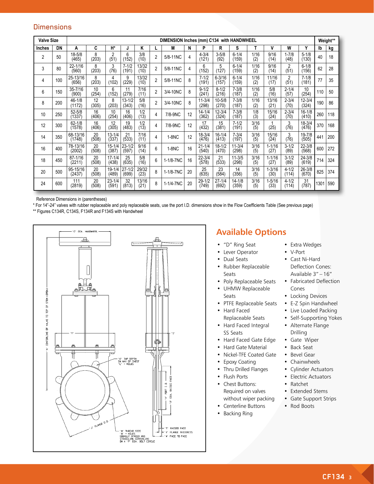#### **Dimensions**

| <b>Valve Size</b> |     | DIMENSION Inches (mm) C134 with HANDWHEEL |             |                     |                     |               |                |           |    |                     |                     | Weight**            |             |                    |                    |                     |      |     |
|-------------------|-----|-------------------------------------------|-------------|---------------------|---------------------|---------------|----------------|-----------|----|---------------------|---------------------|---------------------|-------------|--------------------|--------------------|---------------------|------|-----|
| <b>Inches</b>     | DN  | Α                                         | C           | H*                  | J                   | Κ             |                | М         | N  | P                   | R                   | s                   |             | ٧                  | W                  | Y                   | Ib   | kg  |
| 2                 | 50  | $18 - 5/8$<br>(465)                       | 8<br>(203)  | 2<br>(51)           | 6<br>(152)          | 3/8<br>(10)   | $\overline{2}$ | 5/8-11NC  | 4  | $4 - 3/4$<br>(121)  | $3 - 5/8$<br>(92)   | $6 - 1/4$<br>(159)  | 1/16<br>(2) | 9/16<br>(14)       | $1 - 7/8$<br>(48)  | $5 - 1/8$<br>(130)  | 40   | 18  |
| 3                 | 80  | 22-1/16<br>(560)                          | 8<br>(203)  | 3<br>(76)           | $7 - 1/2$<br>(191)  | 13/32<br>(10) | $\overline{2}$ | 5/8-11NC  | 4  | 6<br>(152)          | 5<br>(127)          | $6 - 1/4$<br>(159)  | 1/16<br>(2) | 9/16<br>(14)       | 2<br>(51)          | $6 - 1/8$<br>(156)  | 62   | 28  |
| 4                 | 100 | 25-13/16<br>(656)                         | 8<br>(203)  | 4<br>(102)          | 9<br>(229)          | 13/32<br>(10) | $\overline{2}$ | 5/8-11NC  | 8  | $7 - 1/2$<br>(191)  | $6 - 3/16$<br>(157) | $6 - 1/4$<br>(159)  | 1/16<br>(2) | 11/16<br>(17)      | 2<br>(51)          | $7 - 1/8$<br>(181)  | 77   | 35  |
| 6                 | 150 | $35 - 7/16$<br>(900)                      | 10<br>(254) | 6<br>(152)          | 11<br>(279)         | 7/16<br>(11)  | $\overline{2}$ | 3/4-10NC  | 8  | $9 - 1/2$<br>(241)  | $8 - 1/2$<br>(216)  | $7 - 3/8$<br>(187)  | 1/16<br>(2) | 5/8<br>(16)        | $2 - 1/4$<br>(57)  | 10<br>(254)         | 110  | 50  |
| 8                 | 200 | $46 - 1/8$<br>(1172)                      | 12<br>(305) | 8<br>(203)          | $13 - 1/2$<br>(343) | 5/8<br>(16)   | $\overline{2}$ | 3/4-10NC  | 8  | $11 - 3/4$<br>(298) | $10 - 5/8$<br>(270) | $7 - 3/8$<br>(187)  | 1/16<br>(2) | 13/16<br>(21)      | $2 - 3/4$<br>(70)  | $12 - 3/4$<br>(324) | 190  | 86  |
| 10                | 250 | $52 - 5/8$<br>(1337)                      | 16<br>(406) | 10<br>(254)         | 16<br>(406)         | 1/2<br>(13)   | 4              | 7/8-9NC   | 12 | $14 - 1/4$<br>(362) | $12 - 3/4$<br>(324) | $7 - 3/8$<br>(187)  | 1/8<br>(3)  | 15/16<br>(24)      | $2 - 3/4$<br>(70)  | $16 - 1/8$<br>(410) | 260  | 118 |
| 12                | 300 | $62 - 1/8$<br>(1578)                      | 16<br>(406) | 12<br>(305)         | 19<br>(483)         | 1/2<br>(13)   | 4              | 7/8-9NC   | 12 | 17<br>(432)         | 15<br>(381)         | $7 - 1/2$<br>(191)  | 3/16<br>(5) | (25)               | 3<br>(76)          | $18 - 3/4$<br>(476) | 370  | 168 |
| 14                | 350 | 68-13/16<br>(1748)                        | 20<br>(508) | $13 - 1/4$<br>(337) | 21<br>(533)         | 7/16<br>(11)  | 4              | $1-8NC$   | 12 | $18 - 3/4$<br>(476) | $16 - 1/4$<br>(413) | $7 - 3/4$<br>(197)  | 3/16<br>(5) | 15/16<br>(24)      | 3<br>(76)          | 19-7/8<br>(505)     | 441  | 200 |
| 16                | 400 | 78-13/16<br>(2002)                        | 20<br>(508) | $15 - 1/4$<br>(387) | $23 - 1/2$<br>(597) | 9/16<br>(14)  | 6              | $1-8NC$   | 16 | $21 - 1/4$<br>(540) | $18 - 1/2$<br>(470) | $11 - 3/4$<br>(298) | 3/16<br>(5) | $1 - 1/16$<br>(27) | $3 - 1/2$<br>(89)  | $22 - 3/8$<br>(568) | 600  | 272 |
| 18                | 450 | 87-1/16<br>(2211)                         | 20<br>(508) | $17 - 1/4$<br>(438) | 25<br>(635)         | 5/8<br>(16)   | 6              | 1-1/8-7NC | 16 | $22 - 3/4$<br>(578) | 21<br>(533)         | $11 - 3/5$<br>(298) | 3/16<br>(5) | $1 - 1/16$<br>(27) | $3 - 1/2$<br>(89)  | $24 - 3/8$<br>(619) | 714  | 324 |
| 20                | 500 | 95-15/16<br>(2437)                        | 20<br>(508) | $19 - 1/4$<br>(489) | $27 - 1/2$<br>(699) | 29/32<br>(23) | 8              | 1-1/8-7NC | 20 | 25<br>(635)         | 23<br>(584)         | 14<br>(356)         | 3/16<br>(5) | $1 - 3/16$<br>(30) | $4 - 1/2$<br>(114) | 26-3/8<br>(670)     | 825  | 374 |
| 24                | 600 | 111<br>(2819)                             | 20<br>(508) | $23 - 1/4$<br>(591) | 32<br>(813)         | 13/16<br>(21) | 8              | 1-1/4-7NC | 20 | $29 - 1/2$<br>(749) | $27 - 1/4$<br>(692) | $14 - 1/8$<br>(359) | 3/16<br>(5) | $1 - 5/16$<br>(33) | $4 - 1/2$<br>(114) | 31<br>(787)         | 1301 | 590 |

Reference Dimensions in (parentheses)

\* For 14"-24" valves with rubber replaceable and poly replaceable seats, use the port I.D. dimensions show in the Flow Coefficients Table (See previous page)

\*\* Figures C134R, C134S, F134R and F134S with Handwheel



# **Available Options**

- "D" Ring Seat
- Lever Operator
- Dual Seats
- Rubber Replaceable Seats
- Poly Replaceable Seats
- UHMW Replaceable Seats
- PTFE Replaceable Seats
- Hard Faced Replaceable Seats
- Hard Faced Integral SS Seats
	- Hard Faced Gate Edge
- Hard Gate Material
- Nickel-TFE Coated Gate
- Epoxy Coating
- Thru Drilled Flanges
- Flush Ports
- Chest Buttons: Required on valves without wiper packing
- Centerline Buttons
- Backing Ring
- Extra Wedges
- V-Port
- Cast Ni-Hard Deflection Cones: Available 3" – 16"
- Fabricated Deflection Cones
- Locking Devices
- E-Z Spin Handwheel
- Live Loaded Packing
- Self-Supporting Yokes
- Alternate Flange Drilling
- Gate Wiper
- Back Seat
- Bevel Gear
- Chainwheels
- Cylinder Actuators
- Electric Actuators
- Ratchet
- Extended Stems
- Gate Support Strips
- Rod Boots